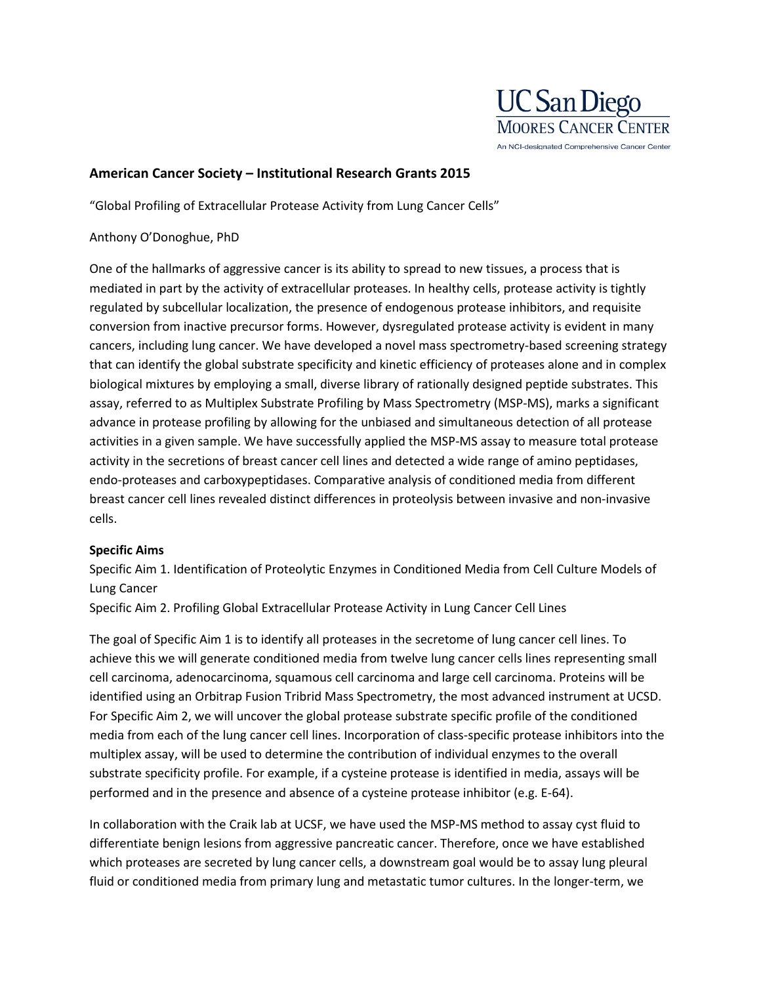

## **American Cancer Society – Institutional Research Grants 2015**

"Global Profiling of Extracellular Protease Activity from Lung Cancer Cells"

## Anthony O'Donoghue, PhD

One of the hallmarks of aggressive cancer is its ability to spread to new tissues, a process that is mediated in part by the activity of extracellular proteases. In healthy cells, protease activity is tightly regulated by subcellular localization, the presence of endogenous protease inhibitors, and requisite conversion from inactive precursor forms. However, dysregulated protease activity is evident in many cancers, including lung cancer. We have developed a novel mass spectrometry-based screening strategy that can identify the global substrate specificity and kinetic efficiency of proteases alone and in complex biological mixtures by employing a small, diverse library of rationally designed peptide substrates. This assay, referred to as Multiplex Substrate Profiling by Mass Spectrometry (MSP-MS), marks a significant advance in protease profiling by allowing for the unbiased and simultaneous detection of all protease activities in a given sample. We have successfully applied the MSP-MS assay to measure total protease activity in the secretions of breast cancer cell lines and detected a wide range of amino peptidases, endo-proteases and carboxypeptidases. Comparative analysis of conditioned media from different breast cancer cell lines revealed distinct differences in proteolysis between invasive and non-invasive cells.

## **Specific Aims**

Specific Aim 1. Identification of Proteolytic Enzymes in Conditioned Media from Cell Culture Models of Lung Cancer

Specific Aim 2. Profiling Global Extracellular Protease Activity in Lung Cancer Cell Lines

The goal of Specific Aim 1 is to identify all proteases in the secretome of lung cancer cell lines. To achieve this we will generate conditioned media from twelve lung cancer cells lines representing small cell carcinoma, adenocarcinoma, squamous cell carcinoma and large cell carcinoma. Proteins will be identified using an Orbitrap Fusion Tribrid Mass Spectrometry, the most advanced instrument at UCSD. For Specific Aim 2, we will uncover the global protease substrate specific profile of the conditioned media from each of the lung cancer cell lines. Incorporation of class-specific protease inhibitors into the multiplex assay, will be used to determine the contribution of individual enzymes to the overall substrate specificity profile. For example, if a cysteine protease is identified in media, assays will be performed and in the presence and absence of a cysteine protease inhibitor (e.g. E-64).

In collaboration with the Craik lab at UCSF, we have used the MSP-MS method to assay cyst fluid to differentiate benign lesions from aggressive pancreatic cancer. Therefore, once we have established which proteases are secreted by lung cancer cells, a downstream goal would be to assay lung pleural fluid or conditioned media from primary lung and metastatic tumor cultures. In the longer-term, we